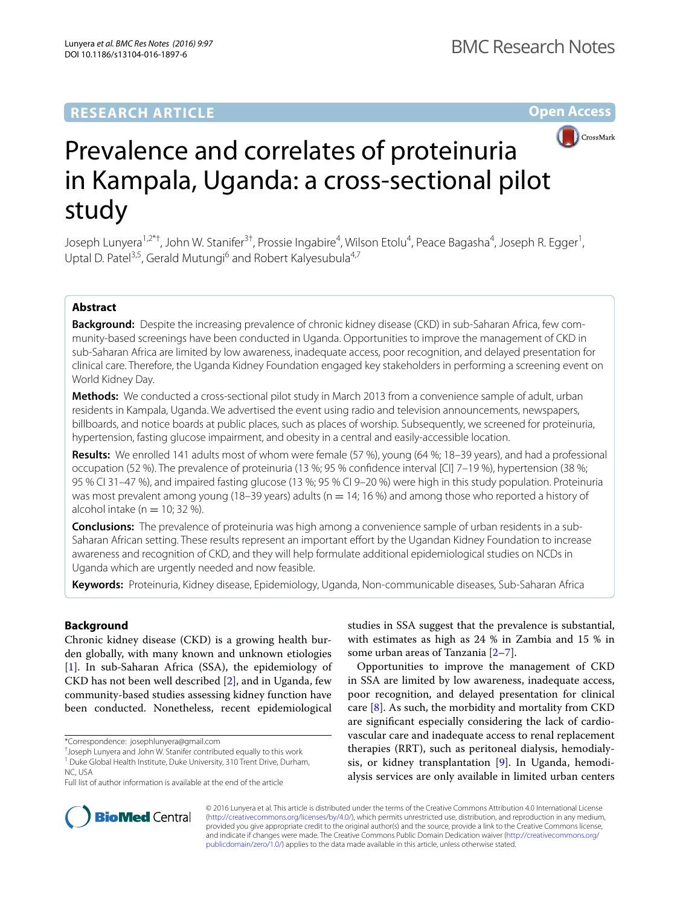# **RESEARCH ARTICLE**

**Open Access**



# Prevalence and correlates of proteinuria in Kampala, Uganda: a cross-sectional pilot study

Joseph Lunyera<sup>1,2\*†</sup>, John W. Stanifer<sup>3†</sup>, Prossie Ingabire<sup>4</sup>, Wilson Etolu<sup>4</sup>, Peace Bagasha<sup>4</sup>, Joseph R. Egger<sup>1</sup>, Uptal D. Patel<sup>3,5</sup>, Gerald Mutungi<sup>6</sup> and Robert Kalyesubula<sup>4,7</sup>

## **Abstract**

**Background:** Despite the increasing prevalence of chronic kidney disease (CKD) in sub-Saharan Africa, few community-based screenings have been conducted in Uganda. Opportunities to improve the management of CKD in sub-Saharan Africa are limited by low awareness, inadequate access, poor recognition, and delayed presentation for clinical care. Therefore, the Uganda Kidney Foundation engaged key stakeholders in performing a screening event on World Kidney Day.

**Methods:** We conducted a cross-sectional pilot study in March 2013 from a convenience sample of adult, urban residents in Kampala, Uganda. We advertised the event using radio and television announcements, newspapers, billboards, and notice boards at public places, such as places of worship. Subsequently, we screened for proteinuria, hypertension, fasting glucose impairment, and obesity in a central and easily-accessible location.

**Results:** We enrolled 141 adults most of whom were female (57 %), young (64 %; 18–39 years), and had a professional occupation (52 %). The prevalence of proteinuria (13 %; 95 % confidence interval [CI] 7–19 %), hypertension (38 %; 95 % CI 31–47 %), and impaired fasting glucose (13 %; 95 % CI 9–20 %) were high in this study population. Proteinuria was most prevalent among young (18–39 years) adults ( $n = 14$ ; 16 %) and among those who reported a history of alcohol intake ( $n = 10$ ; 32 %).

**Conclusions:** The prevalence of proteinuria was high among a convenience sample of urban residents in a sub-Saharan African setting. These results represent an important effort by the Ugandan Kidney Foundation to increase awareness and recognition of CKD, and they will help formulate additional epidemiological studies on NCDs in Uganda which are urgently needed and now feasible.

**Keywords:** Proteinuria, Kidney disease, Epidemiology, Uganda, Non-communicable diseases, Sub-Saharan Africa

## **Background**

Chronic kidney disease (CKD) is a growing health burden globally, with many known and unknown etiologies [[1\]](#page-4-0). In sub-Saharan Africa (SSA), the epidemiology of CKD has not been well described [[2\]](#page-4-1), and in Uganda, few community-based studies assessing kidney function have been conducted. Nonetheless, recent epidemiological

\*Correspondence: josephlunyera@gmail.com

† Joseph Lunyera and John W. Stanifer contributed equally to this work <sup>1</sup> Duke Global Health Institute, Duke University, 310 Trent Drive, Durham, studies in SSA suggest that the prevalence is substantial, with estimates as high as 24 % in Zambia and 15 % in some urban areas of Tanzania [[2](#page-4-1)[–7](#page-4-2)].

Opportunities to improve the management of CKD in SSA are limited by low awareness, inadequate access, poor recognition, and delayed presentation for clinical care [[8\]](#page-4-3). As such, the morbidity and mortality from CKD are significant especially considering the lack of cardiovascular care and inadequate access to renal replacement therapies (RRT), such as peritoneal dialysis, hemodialysis, or kidney transplantation [\[9](#page-4-4)]. In Uganda, hemodialysis services are only available in limited urban centers



© 2016 Lunyera et al. This article is distributed under the terms of the Creative Commons Attribution 4.0 International License [\(http://creativecommons.org/licenses/by/4.0/\)](http://creativecommons.org/licenses/by/4.0/), which permits unrestricted use, distribution, and reproduction in any medium, provided you give appropriate credit to the original author(s) and the source, provide a link to the Creative Commons license, and indicate if changes were made. The Creative Commons Public Domain Dedication waiver ([http://creativecommons.org/](http://creativecommons.org/publicdomain/zero/1.0/) [publicdomain/zero/1.0/](http://creativecommons.org/publicdomain/zero/1.0/)) applies to the data made available in this article, unless otherwise stated.

NC, USA

Full list of author information is available at the end of the article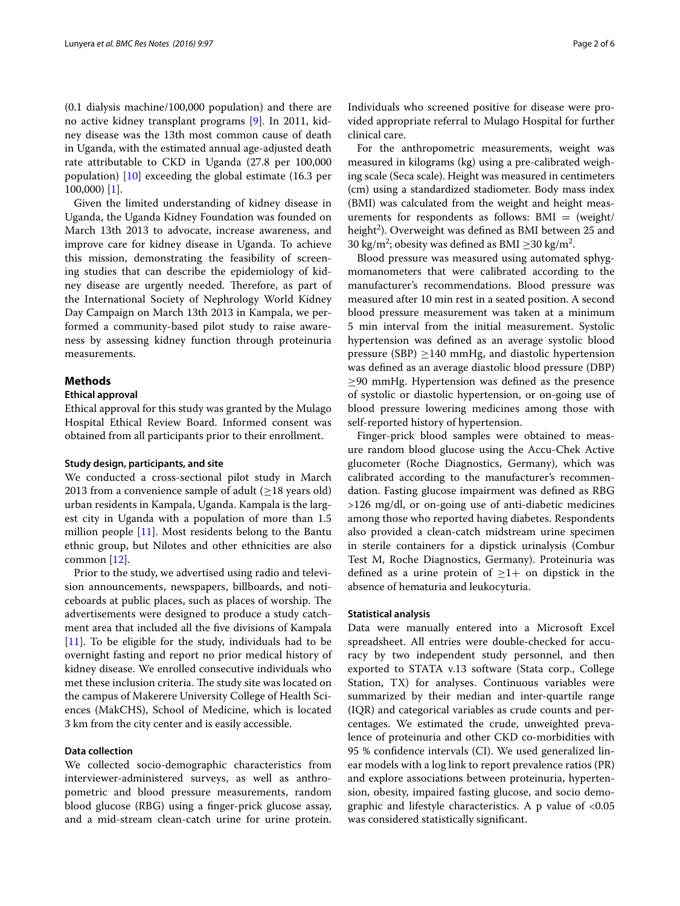(0.1 dialysis machine/100,000 population) and there are no active kidney transplant programs [[9\]](#page-4-4). In 2011, kidney disease was the 13th most common cause of death in Uganda, with the estimated annual age-adjusted death rate attributable to CKD in Uganda (27.8 per 100,000 population) [\[10\]](#page-4-5) exceeding the global estimate (16.3 per 100,000) [\[1](#page-4-0)].

Given the limited understanding of kidney disease in Uganda, the Uganda Kidney Foundation was founded on March 13th 2013 to advocate, increase awareness, and improve care for kidney disease in Uganda. To achieve this mission, demonstrating the feasibility of screening studies that can describe the epidemiology of kidney disease are urgently needed. Therefore, as part of the International Society of Nephrology World Kidney Day Campaign on March 13th 2013 in Kampala, we performed a community-based pilot study to raise awareness by assessing kidney function through proteinuria measurements.

## **Methods**

## **Ethical approval**

Ethical approval for this study was granted by the Mulago Hospital Ethical Review Board. Informed consent was obtained from all participants prior to their enrollment.

### **Study design, participants, and site**

We conducted a cross-sectional pilot study in March 2013 from a convenience sample of adult ( $\geq$ 18 years old) urban residents in Kampala, Uganda. Kampala is the largest city in Uganda with a population of more than 1.5 million people [\[11](#page-4-6)]. Most residents belong to the Bantu ethnic group, but Nilotes and other ethnicities are also common [[12\]](#page-5-0).

Prior to the study, we advertised using radio and television announcements, newspapers, billboards, and noticeboards at public places, such as places of worship. The advertisements were designed to produce a study catchment area that included all the five divisions of Kampala [[11\]](#page-4-6). To be eligible for the study, individuals had to be overnight fasting and report no prior medical history of kidney disease. We enrolled consecutive individuals who met these inclusion criteria. The study site was located on the campus of Makerere University College of Health Sciences (MakCHS), School of Medicine, which is located 3 km from the city center and is easily accessible.

## **Data collection**

We collected socio-demographic characteristics from interviewer-administered surveys, as well as anthropometric and blood pressure measurements, random blood glucose (RBG) using a finger-prick glucose assay, and a mid-stream clean-catch urine for urine protein. Individuals who screened positive for disease were provided appropriate referral to Mulago Hospital for further clinical care.

For the anthropometric measurements, weight was measured in kilograms (kg) using a pre-calibrated weighing scale (Seca scale). Height was measured in centimeters (cm) using a standardized stadiometer. Body mass index (BMI) was calculated from the weight and height measurements for respondents as follows:  $BMI = (weight/$ height<sup>2</sup>). Overweight was defined as BMI between 25 and 30 kg/m<sup>2</sup>; obesity was defined as BMI  $\geq$ 30 kg/m<sup>2</sup>.

Blood pressure was measured using automated sphygmomanometers that were calibrated according to the manufacturer's recommendations. Blood pressure was measured after 10 min rest in a seated position. A second blood pressure measurement was taken at a minimum 5 min interval from the initial measurement. Systolic hypertension was defined as an average systolic blood pressure (SBP)  $\geq$ 140 mmHg, and diastolic hypertension was defined as an average diastolic blood pressure (DBP) ≥90 mmHg. Hypertension was defined as the presence of systolic or diastolic hypertension, or on-going use of blood pressure lowering medicines among those with self-reported history of hypertension.

Finger-prick blood samples were obtained to measure random blood glucose using the Accu-Chek Active glucometer (Roche Diagnostics, Germany), which was calibrated according to the manufacturer's recommendation. Fasting glucose impairment was defined as RBG >126 mg/dl, or on-going use of anti-diabetic medicines among those who reported having diabetes. Respondents also provided a clean-catch midstream urine specimen in sterile containers for a dipstick urinalysis (Combur Test M, Roche Diagnostics, Germany). Proteinuria was defined as a urine protein of  $>1+$  on dipstick in the absence of hematuria and leukocyturia.

#### **Statistical analysis**

Data were manually entered into a Microsoft Excel spreadsheet. All entries were double-checked for accuracy by two independent study personnel, and then exported to STATA v.13 software (Stata corp., College Station, TX) for analyses. Continuous variables were summarized by their median and inter-quartile range (IQR) and categorical variables as crude counts and percentages. We estimated the crude, unweighted prevalence of proteinuria and other CKD co-morbidities with 95 % confidence intervals (CI). We used generalized linear models with a log link to report prevalence ratios (PR) and explore associations between proteinuria, hypertension, obesity, impaired fasting glucose, and socio demographic and lifestyle characteristics. A p value of <0.05 was considered statistically significant.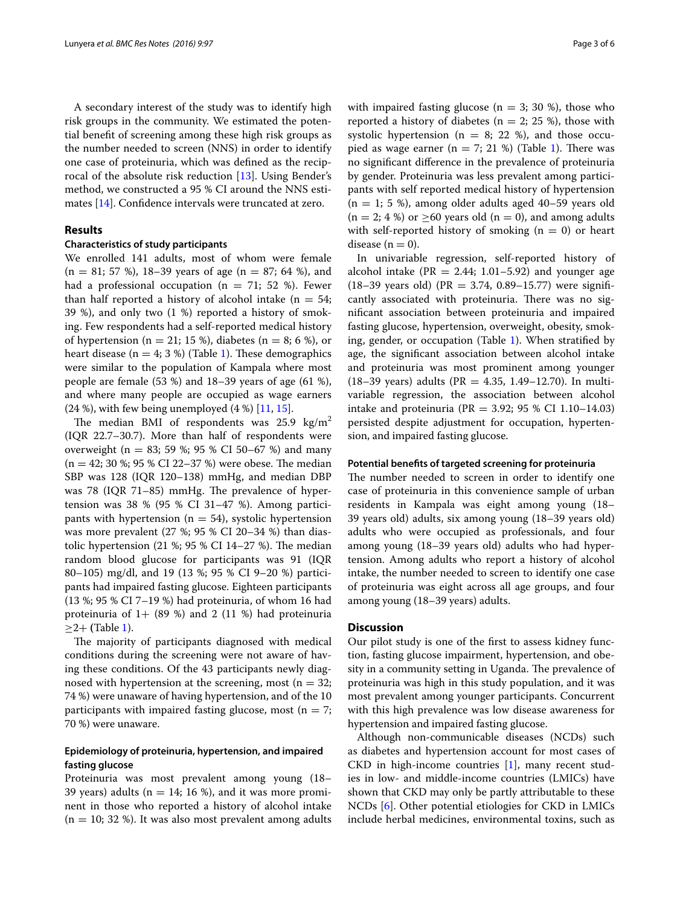A secondary interest of the study was to identify high risk groups in the community. We estimated the potential benefit of screening among these high risk groups as the number needed to screen (NNS) in order to identify one case of proteinuria, which was defined as the reciprocal of the absolute risk reduction [\[13](#page-5-1)]. Using Bender's method, we constructed a 95 % CI around the NNS estimates [\[14](#page-5-2)]. Confidence intervals were truncated at zero.

## **Results**

## **Characteristics of study participants**

We enrolled 141 adults, most of whom were female  $(n = 81; 57 \%)$ , 18–39 years of age  $(n = 87; 64 \%)$ , and had a professional occupation ( $n = 71$ ; 52 %). Fewer than half reported a history of alcohol intake ( $n = 54$ ; 39 %), and only two  $(1 \%)$  reported a history of smoking. Few respondents had a self-reported medical history of hypertension ( $n = 21$ ; 15 %), diabetes ( $n = 8$ ; 6 %), or heart disease ( $n = 4$ ; 3 %) (Table [1](#page-3-0)). These demographics were similar to the population of Kampala where most people are female (53 %) and 18–39 years of age (61 %), and where many people are occupied as wage earners  $(24 \%)$ , with few being unemployed  $(4 \%)$  [[11,](#page-4-6) [15\]](#page-5-3).

The median BMI of respondents was  $25.9 \text{ kg/m}^2$ (IQR 22.7–30.7). More than half of respondents were overweight ( $n = 83$ ; 59 %; 95 % CI 50–67 %) and many  $(n = 42; 30 \text{ %}; 95 \text{ % CI } 22-37 \text{ %})$  were obese. The median SBP was 128 (IQR 120–138) mmHg, and median DBP was 78 (IQR 71–85) mmHg. The prevalence of hypertension was 38 % (95 % CI 31–47 %). Among participants with hypertension ( $n = 54$ ), systolic hypertension was more prevalent (27 %; 95 % CI 20–34 %) than diastolic hypertension (21 %; 95 % CI 14–27 %). The median random blood glucose for participants was 91 (IQR 80–105) mg/dl, and 19 (13 %; 95 % CI 9–20 %) participants had impaired fasting glucose. Eighteen participants (13 %; 95 % CI 7–19 %) had proteinuria, of whom 16 had proteinuria of  $1+$  (89 %) and 2 (11 %) had proteinuria  $\geq$ 2+ (Table [1\)](#page-3-0).

The majority of participants diagnosed with medical conditions during the screening were not aware of having these conditions. Of the 43 participants newly diagnosed with hypertension at the screening, most ( $n = 32$ ; 74 %) were unaware of having hypertension, and of the 10 participants with impaired fasting glucose, most ( $n = 7$ ; 70 %) were unaware.

## **Epidemiology of proteinuria, hypertension, and impaired fasting glucose**

Proteinuria was most prevalent among young (18– 39 years) adults ( $n = 14$ ; 16 %), and it was more prominent in those who reported a history of alcohol intake  $(n = 10; 32 \%)$ . It was also most prevalent among adults with impaired fasting glucose ( $n = 3$ ; 30 %), those who reported a history of diabetes ( $n = 2$ ; 25 %), those with systolic hypertension ( $n = 8$ ; 22 %), and those occupied as wage earner ( $n = 7$ ; 2[1](#page-3-0) %) (Table 1). There was no significant difference in the prevalence of proteinuria by gender. Proteinuria was less prevalent among participants with self reported medical history of hypertension  $(n = 1; 5, 6)$ , among older adults aged 40–59 years old  $(n = 2; 4%)$  or  $\geq 60$  years old  $(n = 0)$ , and among adults with self-reported history of smoking  $(n = 0)$  or heart disease  $(n = 0)$ .

In univariable regression, self-reported history of alcohol intake ( $PR = 2.44$ ; 1.01–5.92) and younger age  $(18-39 \text{ years old})$   $(PR = 3.74, 0.89-15.77)$  were significantly associated with proteinuria. There was no significant association between proteinuria and impaired fasting glucose, hypertension, overweight, obesity, smoking, gender, or occupation (Table [1\)](#page-3-0). When stratified by age, the significant association between alcohol intake and proteinuria was most prominent among younger (18–39 years) adults (PR =  $4.35, 1.49$ –12.70). In multivariable regression, the association between alcohol intake and proteinuria (PR = 3.92; 95 % CI 1.10–14.03) persisted despite adjustment for occupation, hypertension, and impaired fasting glucose.

#### **Potential benefits of targeted screening for proteinuria**

The number needed to screen in order to identify one case of proteinuria in this convenience sample of urban residents in Kampala was eight among young (18– 39 years old) adults, six among young (18–39 years old) adults who were occupied as professionals, and four among young (18–39 years old) adults who had hypertension. Among adults who report a history of alcohol intake, the number needed to screen to identify one case of proteinuria was eight across all age groups, and four among young (18–39 years) adults.

## **Discussion**

Our pilot study is one of the first to assess kidney function, fasting glucose impairment, hypertension, and obesity in a community setting in Uganda. The prevalence of proteinuria was high in this study population, and it was most prevalent among younger participants. Concurrent with this high prevalence was low disease awareness for hypertension and impaired fasting glucose.

Although non-communicable diseases (NCDs) such as diabetes and hypertension account for most cases of CKD in high-income countries [\[1](#page-4-0)], many recent studies in low- and middle-income countries (LMICs) have shown that CKD may only be partly attributable to these NCDs [[6\]](#page-4-7). Other potential etiologies for CKD in LMICs include herbal medicines, environmental toxins, such as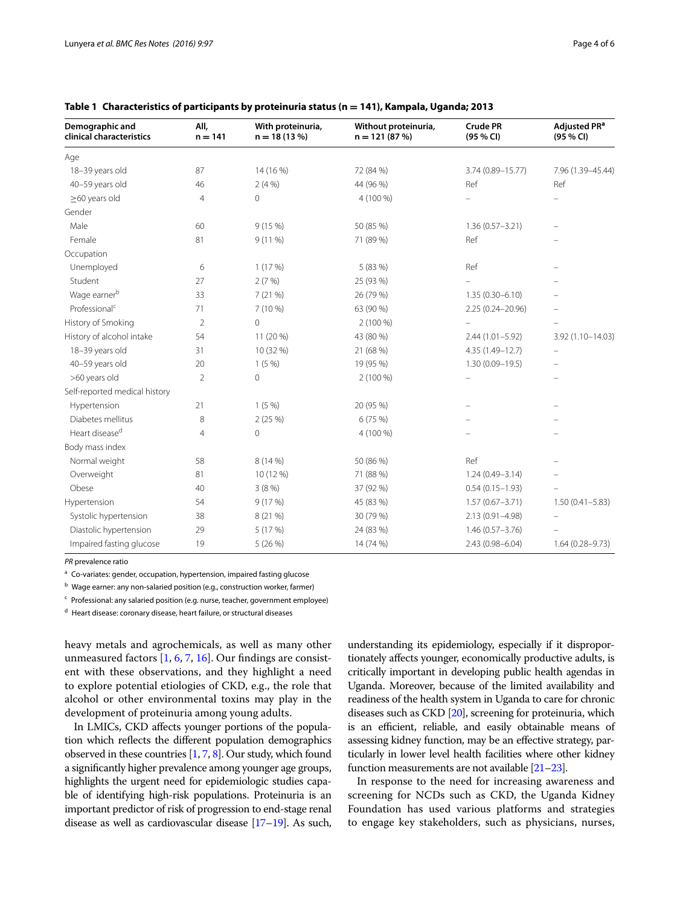| Demographic and<br>clinical characteristics | All,<br>$n = 141$ | With proteinuria,<br>$n = 18(13%)$ | Without proteinuria,<br>$n = 121(87%)$ | <b>Crude PR</b><br>(95 % CI) | Adjusted PR <sup>a</sup><br>(95 % CI) |
|---------------------------------------------|-------------------|------------------------------------|----------------------------------------|------------------------------|---------------------------------------|
| Age                                         |                   |                                    |                                        |                              |                                       |
| 18-39 years old                             | 87                | 14 (16 %)                          | 72 (84 %)                              | 3.74 (0.89-15.77)            | 7.96 (1.39-45.44)                     |
| 40-59 years old                             | 46                | 2(4%)                              | 44 (96 %)                              | Ref                          | Ref                                   |
| $\geq$ 60 years old                         | $\overline{4}$    | $\circ$                            | 4 (100 %)                              |                              |                                       |
| Gender                                      |                   |                                    |                                        |                              |                                       |
| Male                                        | 60                | 9(15%)                             | 50 (85 %)                              | $1.36(0.57 - 3.21)$          |                                       |
| Female                                      | 81                | $9(11\%)$                          | 71 (89 %)                              | Ref                          |                                       |
| Occupation                                  |                   |                                    |                                        |                              |                                       |
| Unemployed                                  | 6                 | 1(17%)                             | 5 (83 %)                               | Ref                          |                                       |
| Student                                     | 27                | 2(7%)                              | 25 (93 %)                              |                              |                                       |
| Wage earnerb                                | 33                | 7(21%)                             | 26 (79 %)                              | $1.35(0.30 - 6.10)$          |                                       |
| Professional <sup>c</sup>                   | 71                | $7(10\%)$                          | 63 (90 %)                              | 2.25 (0.24-20.96)            |                                       |
| History of Smoking                          | $\overline{2}$    | $\Omega$                           | 2 (100 %)                              |                              |                                       |
| History of alcohol intake                   | 54                | 11 (20 %)                          | 43 (80 %)                              | $2.44(1.01 - 5.92)$          | 3.92 (1.10-14.03)                     |
| 18-39 years old                             | 31                | 10 (32 %)                          | 21 (68 %)                              | 4.35 (1.49-12.7)             |                                       |
| 40-59 years old                             | 20                | 1(5%                               | 19 (95 %)                              | $1.30(0.09 - 19.5)$          |                                       |
| >60 years old                               | 2                 | $\mathsf{O}\xspace$                | 2 (100 %)                              |                              |                                       |
| Self-reported medical history               |                   |                                    |                                        |                              |                                       |
| Hypertension                                | 21                | 1(5%                               | 20 (95 %)                              |                              |                                       |
| Diabetes mellitus                           | 8                 | 2(25%)                             | 6(75%)                                 |                              |                                       |
| Heart disease <sup>d</sup>                  | 4                 | $\circ$                            | 4 (100 %)                              |                              |                                       |
| Body mass index                             |                   |                                    |                                        |                              |                                       |
| Normal weight                               | 58                | 8 (14 %)                           | 50 (86 %)                              | Ref                          |                                       |
| Overweight                                  | 81                | 10 (12 %)                          | 71 (88 %)                              | $1.24(0.49 - 3.14)$          |                                       |
| Obese                                       | 40                | 3(8%)                              | 37 (92 %)                              | $0.54(0.15 - 1.93)$          |                                       |
| Hypertension                                | 54                | 9(17%)                             | 45 (83 %)                              | $1.57(0.67 - 3.71)$          | $1.50(0.41 - 5.83)$                   |
| Systolic hypertension                       | 38                | 8 (21 %)                           | 30 (79 %)                              | 2.13 (0.91-4.98)             |                                       |
| Diastolic hypertension                      | 29                | 5 (17 %)                           | 24 (83 %)                              | $1.46(0.57 - 3.76)$          |                                       |
| Impaired fasting glucose                    | 19                | 5(26%)                             | 14 (74 %)                              | 2.43 (0.98-6.04)             | $1.64(0.28 - 9.73)$                   |

<span id="page-3-0"></span>

| Table 1 Characteristics of participants by proteinuria status (n = 141), Kampala, Uganda; 2013 |
|------------------------------------------------------------------------------------------------|
|                                                                                                |

*PR* prevalence ratio

<sup>a</sup> Co-variates: gender, occupation, hypertension, impaired fasting glucose

 $b$  Wage earner: any non-salaried position (e.g., construction worker, farmer)

 $c$  Professional: any salaried position (e.g. nurse, teacher, government employee)

<sup>d</sup> Heart disease: coronary disease, heart failure, or structural diseases

heavy metals and agrochemicals, as well as many other unmeasured factors [\[1](#page-4-0), [6,](#page-4-7) [7](#page-4-2), [16\]](#page-5-4). Our findings are consistent with these observations, and they highlight a need to explore potential etiologies of CKD, e.g., the role that alcohol or other environmental toxins may play in the development of proteinuria among young adults.

In LMICs, CKD affects younger portions of the population which reflects the different population demographics observed in these countries [\[1](#page-4-0), [7](#page-4-2), [8\]](#page-4-3). Our study, which found a significantly higher prevalence among younger age groups, highlights the urgent need for epidemiologic studies capable of identifying high-risk populations. Proteinuria is an important predictor of risk of progression to end-stage renal disease as well as cardiovascular disease [\[17–](#page-5-5)[19](#page-5-6)]. As such,

understanding its epidemiology, especially if it disproportionately affects younger, economically productive adults, is critically important in developing public health agendas in Uganda. Moreover, because of the limited availability and readiness of the health system in Uganda to care for chronic diseases such as CKD [\[20\]](#page-5-7), screening for proteinuria, which is an efficient, reliable, and easily obtainable means of assessing kidney function, may be an effective strategy, particularly in lower level health facilities where other kidney function measurements are not available [[21](#page-5-8)[–23](#page-5-9)].

In response to the need for increasing awareness and screening for NCDs such as CKD, the Uganda Kidney Foundation has used various platforms and strategies to engage key stakeholders, such as physicians, nurses,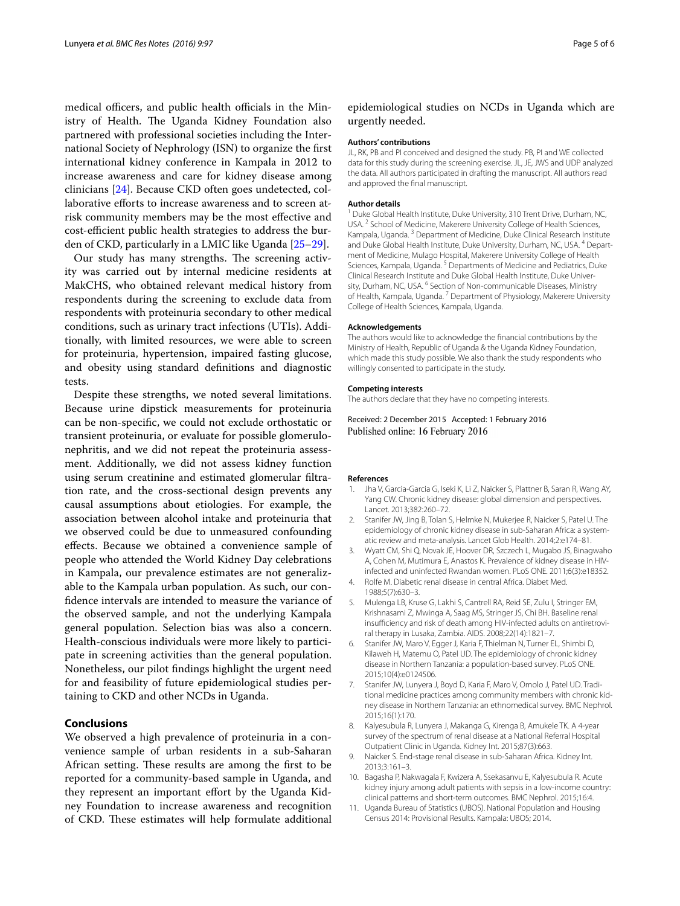medical officers, and public health officials in the Ministry of Health. The Uganda Kidney Foundation also partnered with professional societies including the International Society of Nephrology (ISN) to organize the first international kidney conference in Kampala in 2012 to increase awareness and care for kidney disease among clinicians [\[24](#page-5-10)]. Because CKD often goes undetected, collaborative efforts to increase awareness and to screen atrisk community members may be the most effective and cost-efficient public health strategies to address the burden of CKD, particularly in a LMIC like Uganda [\[25](#page-5-11)[–29\]](#page-5-12).

Our study has many strengths. The screening activity was carried out by internal medicine residents at MakCHS, who obtained relevant medical history from respondents during the screening to exclude data from respondents with proteinuria secondary to other medical conditions, such as urinary tract infections (UTIs). Additionally, with limited resources, we were able to screen for proteinuria, hypertension, impaired fasting glucose, and obesity using standard definitions and diagnostic tests.

Despite these strengths, we noted several limitations. Because urine dipstick measurements for proteinuria can be non-specific, we could not exclude orthostatic or transient proteinuria, or evaluate for possible glomerulonephritis, and we did not repeat the proteinuria assessment. Additionally, we did not assess kidney function using serum creatinine and estimated glomerular filtration rate, and the cross-sectional design prevents any causal assumptions about etiologies. For example, the association between alcohol intake and proteinuria that we observed could be due to unmeasured confounding effects. Because we obtained a convenience sample of people who attended the World Kidney Day celebrations in Kampala, our prevalence estimates are not generalizable to the Kampala urban population. As such, our confidence intervals are intended to measure the variance of the observed sample, and not the underlying Kampala general population. Selection bias was also a concern. Health-conscious individuals were more likely to participate in screening activities than the general population. Nonetheless, our pilot findings highlight the urgent need for and feasibility of future epidemiological studies pertaining to CKD and other NCDs in Uganda.

### **Conclusions**

We observed a high prevalence of proteinuria in a convenience sample of urban residents in a sub-Saharan African setting. These results are among the first to be reported for a community-based sample in Uganda, and they represent an important effort by the Uganda Kidney Foundation to increase awareness and recognition of CKD. These estimates will help formulate additional epidemiological studies on NCDs in Uganda which are urgently needed.

#### **Authors' contributions**

JL, RK, PB and PI conceived and designed the study. PB, PI and WE collected data for this study during the screening exercise. JL, JE, JWS and UDP analyzed the data. All authors participated in drafting the manuscript. All authors read and approved the final manuscript.

#### **Author details**

<sup>1</sup> Duke Global Health Institute, Duke University, 310 Trent Drive, Durham, NC, USA. <sup>2</sup> School of Medicine, Makerere University College of Health Sciences, Kampala, Uganda.<sup>3</sup> Department of Medicine, Duke Clinical Research Institute and Duke Global Health Institute, Duke University, Durham, NC, USA. <sup>4</sup> Department of Medicine, Mulago Hospital, Makerere University College of Health Sciences, Kampala, Uganda.<sup>5</sup> Departments of Medicine and Pediatrics, Duke Clinical Research Institute and Duke Global Health Institute, Duke University, Durham, NC, USA.<sup>6</sup> Section of Non-communicable Diseases, Ministry of Health, Kampala, Uganda. 7 Department of Physiology, Makerere University College of Health Sciences, Kampala, Uganda.

#### **Acknowledgements**

The authors would like to acknowledge the financial contributions by the Ministry of Health, Republic of Uganda & the Uganda Kidney Foundation, which made this study possible. We also thank the study respondents who willingly consented to participate in the study.

#### **Competing interests**

The authors declare that they have no competing interests.

Received: 2 December 2015 Accepted: 1 February 2016 Published online: 16 February 2016

#### **References**

- <span id="page-4-0"></span>1. Jha V, Garcia-Garcia G, Iseki K, Li Z, Naicker S, Plattner B, Saran R, Wang AY, Yang CW. Chronic kidney disease: global dimension and perspectives. Lancet. 2013;382:260–72.
- <span id="page-4-1"></span>2. Stanifer JW, Jing B, Tolan S, Helmke N, Mukerjee R, Naicker S, Patel U. The epidemiology of chronic kidney disease in sub-Saharan Africa: a systematic review and meta-analysis. Lancet Glob Health. 2014;2:e174–81.
- 3. Wyatt CM, Shi Q, Novak JE, Hoover DR, Szczech L, Mugabo JS, Binagwaho A, Cohen M, Mutimura E, Anastos K. Prevalence of kidney disease in HIVinfected and uninfected Rwandan women. PLoS ONE. 2011;6(3):e18352.
- 4. Rolfe M. Diabetic renal disease in central Africa. Diabet Med. 1988;5(7):630–3.
- 5. Mulenga LB, Kruse G, Lakhi S, Cantrell RA, Reid SE, Zulu I, Stringer EM, Krishnasami Z, Mwinga A, Saag MS, Stringer JS, Chi BH. Baseline renal insufficiency and risk of death among HIV-infected adults on antiretroviral therapy in Lusaka, Zambia. AIDS. 2008;22(14):1821–7.
- <span id="page-4-7"></span>6. Stanifer JW, Maro V, Egger J, Karia F, Thielman N, Turner EL, Shimbi D, Kilaweh H, Matemu O, Patel UD. The epidemiology of chronic kidney disease in Northern Tanzania: a population-based survey. PLoS ONE. 2015;10(4):e0124506.
- <span id="page-4-2"></span>7. Stanifer JW, Lunyera J, Boyd D, Karia F, Maro V, Omolo J, Patel UD. Traditional medicine practices among community members with chronic kidney disease in Northern Tanzania: an ethnomedical survey. BMC Nephrol. 2015;16(1):170.
- <span id="page-4-3"></span>8. Kalyesubula R, Lunyera J, Makanga G, Kirenga B, Amukele TK. A 4-year survey of the spectrum of renal disease at a National Referral Hospital Outpatient Clinic in Uganda. Kidney Int. 2015;87(3):663.
- <span id="page-4-4"></span>9. Naicker S. End-stage renal disease in sub-Saharan Africa. Kidney Int. 2013;3:161–3.
- <span id="page-4-5"></span>10. Bagasha P, Nakwagala F, Kwizera A, Ssekasanvu E, Kalyesubula R. Acute kidney injury among adult patients with sepsis in a low-income country: clinical patterns and short-term outcomes. BMC Nephrol. 2015;16:4.
- <span id="page-4-6"></span>11. Uganda Bureau of Statistics (UBOS). National Population and Housing Census 2014: Provisional Results. Kampala: UBOS; 2014.